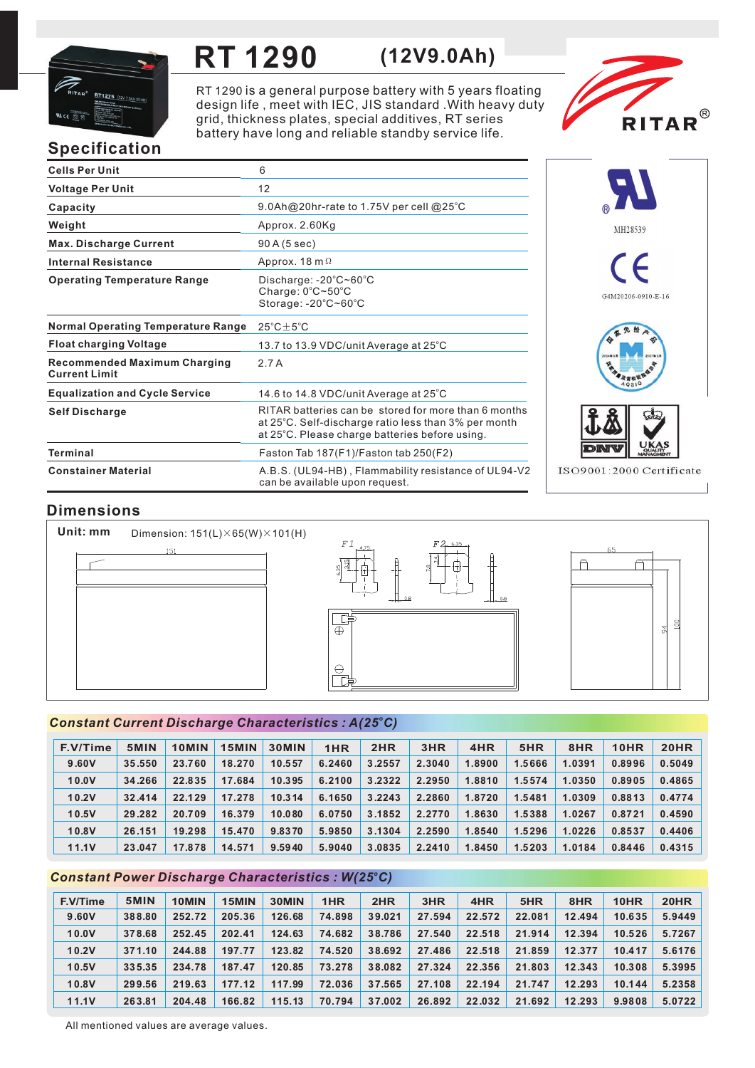

## **RT 1290 (12V9.0Ah)**

RT 1290 is a general purpose battery with 5 years floating design life, meet with IEC, JIS standard . With heavy duty grid, thickness plates, special additives, RT series battery have long and reliable standby service life.



# **Specification**

| <b>Cells Per Unit</b>                                       | 6                                                                                                                                                              |
|-------------------------------------------------------------|----------------------------------------------------------------------------------------------------------------------------------------------------------------|
| <b>Voltage Per Unit</b>                                     | 12                                                                                                                                                             |
| Capacity                                                    | 9.0Ah@20hr-rate to 1.75V per cell @25°C                                                                                                                        |
| Weight                                                      | Approx. 2.60Kg                                                                                                                                                 |
| <b>Max. Discharge Current</b>                               | 90 A (5 sec)                                                                                                                                                   |
| <b>Internal Resistance</b>                                  | Approx. $18 \text{ m } \Omega$                                                                                                                                 |
| <b>Operating Temperature Range</b>                          | Discharge: $-20^{\circ}$ C $\sim$ 60 $^{\circ}$ C<br>Charge: $0^{\circ}$ C $\sim$ 50 $^{\circ}$ C<br>Storage: -20°C~60°C                                       |
| <b>Normal Operating Temperature Range</b>                   | $25^{\circ}$ C $\pm$ 5 $^{\circ}$ C                                                                                                                            |
| <b>Float charging Voltage</b>                               | 13.7 to 13.9 VDC/unit Average at 25°C                                                                                                                          |
| <b>Recommended Maximum Charging</b><br><b>Current Limit</b> | 2.7A                                                                                                                                                           |
| <b>Equalization and Cycle Service</b>                       | 14.6 to 14.8 VDC/unit Average at $25^{\circ}$ C                                                                                                                |
| <b>Self Discharge</b>                                       | RITAR batteries can be stored for more than 6 months<br>at 25°C. Self-discharge ratio less than 3% per month<br>at 25°C. Please charge batteries before using. |
| <b>Terminal</b>                                             | Faston Tab 187(F1)/Faston tab 250(F2)                                                                                                                          |
| <b>Constainer Material</b>                                  | A.B.S. (UL94-HB), Flammability resistance of UL94-V2<br>can be available upon request.                                                                         |



# **Dimensions**

**Unit: mm** Dimension: 151(L)×65(W)×101(H)  $151$ 





### *<sup>o</sup> Constant Current Discharge Characteristics : A(25 C)*

| F.V/Time | 5MIN   | 10MIN  | 15MIN  | <b>30MIN</b> | 1HR    | 2HR    | 3HR    | 4HR    | 5HR    | 8HR    | 10HR   | <b>20HR</b> |
|----------|--------|--------|--------|--------------|--------|--------|--------|--------|--------|--------|--------|-------------|
| 9.60V    | 35,550 | 23.760 | 18.270 | 10.557       | 6.2460 | 3.2557 | 2.3040 | 1.8900 | 1.5666 | 1.0391 | 0.8996 | 0.5049      |
| 10.0V    | 34.266 | 22.835 | 17.684 | 10.395       | 6.2100 | 3.2322 | 2.2950 | 1.8810 | 1.5574 | 1.0350 | 0.8905 | 0.4865      |
| 10.2V    | 32.414 | 22.129 | 17.278 | 10.314       | 6.1650 | 3.2243 | 2.2860 | 1.8720 | 1.5481 | 1.0309 | 0.8813 | 0.4774      |
| 10.5V    | 29.282 | 20.709 | 16.379 | 10.080       | 6.0750 | 3.1852 | 2.2770 | 1.8630 | 1.5388 | 1.0267 | 0.8721 | 0.4590      |
| 10.8V    | 26.151 | 19.298 | 15.470 | 9.8370       | 5.9850 | 3.1304 | 2.2590 | 1.8540 | 1.5296 | 1.0226 | 0.8537 | 0.4406      |
| 11.1V    | 23.047 | 17.878 | 14.571 | 9.5940       | 5.9040 | 3.0835 | 2.2410 | 1.8450 | 1.5203 | 1.0184 | 0.8446 | 0.4315      |

### *<sup>o</sup> Constant Power Discharge Characteristics : W(25 C)*

| F.V/Time | 5MIN   | 10MIN  | 15MIN  | 30MIN  | 1HR    | 2HR    | 3HR    | 4HR    | 5HR    | 8HR    | 10HR   | <b>20HR</b> |
|----------|--------|--------|--------|--------|--------|--------|--------|--------|--------|--------|--------|-------------|
| 9.60V    | 388.80 | 252.72 | 205.36 | 126.68 | 74.898 | 39.021 | 27.594 | 22.572 | 22.081 | 12.494 | 10.635 | 5.9449      |
| 10.0V    | 378.68 | 252.45 | 202.41 | 124.63 | 74.682 | 38.786 | 27.540 | 22.518 | 21.914 | 12.394 | 10.526 | 5.7267      |
| 10.2V    | 371.10 | 244.88 | 197.77 | 123.82 | 74.520 | 38.692 | 27.486 | 22.518 | 21.859 | 12.377 | 10.417 | 5.6176      |
| 10.5V    | 335.35 | 234.78 | 187.47 | 120.85 | 73.278 | 38,082 | 27.324 | 22.356 | 21.803 | 12.343 | 10.308 | 5.3995      |
| 10.8V    | 299.56 | 219.63 | 177.12 | 117.99 | 72.036 | 37.565 | 27.108 | 22.194 | 21.747 | 12.293 | 10.144 | 5.2358      |
| 11.1V    | 263.81 | 204.48 | 166.82 | 115.13 | 70.794 | 37.002 | 26.892 | 22.032 | 21.692 | 12.293 | 9.9808 | 5.0722      |

All mentioned values are average values.